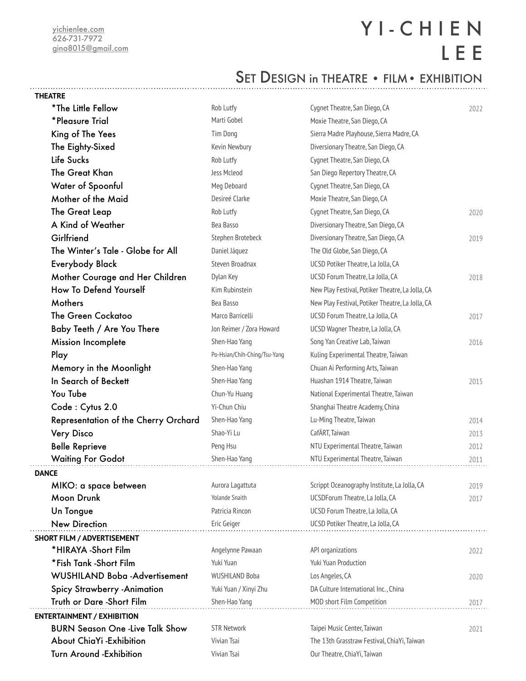# Y I - C H I E N L E E

### SET DESIGN in THEATRE • FILM • EXHIBITION

| <b>THEATRE</b>                         |                              |                                                  |      |
|----------------------------------------|------------------------------|--------------------------------------------------|------|
| *The Little Fellow                     | Rob Lutfy                    | Cygnet Theatre, San Diego, CA                    | 2022 |
| *Pleasure Trial                        | Marti Gobel                  | Moxie Theatre, San Diego, CA                     |      |
| King of The Yees                       | Tim Dong                     | Sierra Madre Playhouse, Sierra Madre, CA         |      |
| The Eighty-Sixed                       | Kevin Newbury                | Diversionary Theatre, San Diego, CA              |      |
| Life Sucks                             | Rob Lutfy                    | Cygnet Theatre, San Diego, CA                    |      |
| The Great Khan                         | Jess Mcleod                  | San Diego Repertory Theatre, CA                  |      |
| Water of Spoonful                      | Meg Deboard                  | Cygnet Theatre, San Diego, CA                    |      |
| Mother of the Maid                     | Desireé Clarke               | Moxie Theatre, San Diego, CA                     |      |
| The Great Leap                         | Rob Lutfy                    | Cygnet Theatre, San Diego, CA                    | 2020 |
| A Kind of Weather                      | Bea Basso                    | Diversionary Theatre, San Diego, CA              |      |
| Girlfriend                             | Stephen Brotebeck            | Diversionary Theatre, San Diego, CA              | 2019 |
| The Winter's Tale - Globe for All      | Daniel Jáquez                | The Old Globe, San Diego, CA                     |      |
| <b>Everybody Black</b>                 | Steven Broadnax              | UCSD Potiker Theatre, La Jolla, CA               |      |
| Mother Courage and Her Children        | Dylan Key                    | UCSD Forum Theatre, La Jolla, CA                 | 2018 |
| How To Defend Yourself                 | Kim Rubinstein               | New Play Festival, Potiker Theatre, La Jolla, CA |      |
| Mothers                                | Bea Basso                    | New Play Festival, Potiker Theatre, La Jolla, CA |      |
| The Green Cockatoo                     | Marco Barricelli             | UCSD Forum Theatre, La Jolla, CA                 | 2017 |
| Baby Teeth / Are You There             | Jon Reimer / Zora Howard     | UCSD Wagner Theatre, La Jolla, CA                |      |
| <b>Mission Incomplete</b>              | Shen-Hao Yang                | Song Yan Creative Lab, Taiwan                    | 2016 |
| Play                                   | Po-Hsian/Chih-Ching/Tsu-Yang | Kuling Experimental Theatre, Taiwan              |      |
| Memory in the Moonlight                | Shen-Hao Yang                | Chuan Ai Performing Arts, Taiwan                 |      |
| In Search of Beckett                   | Shen-Hao Yang                | Huashan 1914 Theatre, Taiwan                     | 2015 |
| You Tube                               | Chun-Yu Huang                | National Experimental Theatre, Taiwan            |      |
| Code: Cytus 2.0                        | Yi-Chun Chiu                 | Shanghai Theatre Academy, China                  |      |
| Representation of the Cherry Orchard   | Shen-Hao Yang                | Lu-Ming Theatre, Taiwan                          | 2014 |
| Very Disco                             | Shao-Yi Lu                   | CafÄRT, Taiwan                                   | 2013 |
| <b>Belle Reprieve</b>                  | Peng Hsu                     | NTU Experimental Theatre, Taiwan                 | 2012 |
| <b>Waiting For Godot</b>               | Shen-Hao Yang                | NTU Experimental Theatre, Taiwan                 | 2011 |
| <b>DANCE</b>                           |                              |                                                  |      |
| MIKO: a space between                  | Aurora Lagattuta             | Scrippt Oceanography Institute, La Jolla, CA     | 2019 |
| Moon Drunk                             | <b>Yolande Snaith</b>        | UCSDForum Theatre, La Jolla, CA                  | 2017 |
| Un Tongue                              | Patricia Rincon              | UCSD Forum Theatre, La Jolla, CA                 |      |
| <b>New Direction</b>                   | Eric Geiger                  | UCSD Potiker Theatre, La Jolla, CA               |      |
| <b>SHORT FILM / ADVERTISEMENT</b>      |                              |                                                  |      |
| *HIRAYA -Short Film                    | Angelynne Pawaan             | API organizations                                | 2022 |
| *Fish Tank -Short Film                 | Yuki Yuan                    | <b>Yuki Yuan Production</b>                      |      |
| <b>WUSHILAND Boba-Advertisement</b>    | <b>WUSHILAND Boba</b>        | Los Angeles, CA                                  | 2020 |
| <b>Spicy Strawberry - Animation</b>    | Yuki Yuan / Xinyi Zhu        | DA Culture International Inc., China             |      |
| Truth or Dare -Short Film              | Shen-Hao Yang                | MOD short Film Competition                       | 2017 |
| <b>ENTERTAINMENT / EXHIBITION</b>      |                              |                                                  |      |
| <b>BURN Season One -Live Talk Show</b> | <b>STR Network</b>           | Taipei Music Center, Taiwan                      | 2021 |
| About ChiaYi -Exhibition               | Vivian Tsai                  | The 13th Grasstraw Festival, ChiaYi, Taiwan      |      |
| <b>Turn Around -Exhibition</b>         | Vivian Tsai                  | Our Theatre, ChiaYi, Taiwan                      |      |